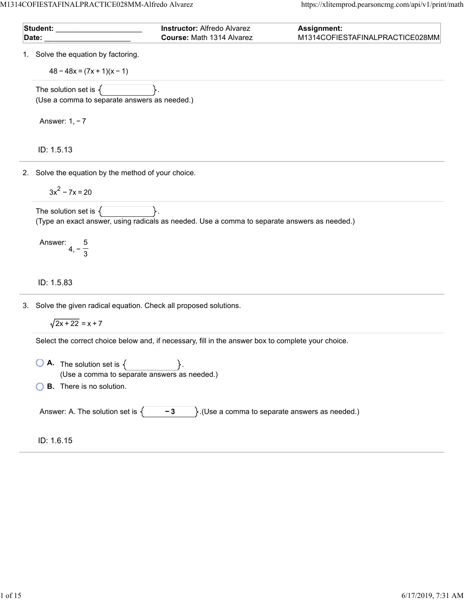M1314COFIESTAFINALPRACTICE028MM-Alfredo Alvarez https://xlitemprod.pearsoncmg.com/api/v1/print/math

|    | Student: _________<br>Date:                                                        | <b>Instructor: Alfredo Alvarez</b><br>Course: Math 1314 Alvarez                                    | <b>Assignment:</b><br>M1314COFIESTAFINALPRACTICE028MM        |
|----|------------------------------------------------------------------------------------|----------------------------------------------------------------------------------------------------|--------------------------------------------------------------|
| 1. | Solve the equation by factoring.                                                   |                                                                                                    |                                                              |
|    | $48 - 48x = (7x + 1)(x - 1)$                                                       |                                                                                                    |                                                              |
|    | The solution set is $\{$                                                           |                                                                                                    |                                                              |
|    | (Use a comma to separate answers as needed.)                                       |                                                                                                    |                                                              |
|    | Answer: $1, -7$                                                                    |                                                                                                    |                                                              |
|    | ID: 1.5.13                                                                         |                                                                                                    |                                                              |
|    | 2. Solve the equation by the method of your choice.                                |                                                                                                    |                                                              |
|    | $3x^2 - 7x = 20$                                                                   |                                                                                                    |                                                              |
|    | The solution set is $\{$                                                           |                                                                                                    |                                                              |
|    |                                                                                    | (Type an exact answer, using radicals as needed. Use a comma to separate answers as needed.)       |                                                              |
|    | Answer: $4, -\frac{5}{3}$                                                          |                                                                                                    |                                                              |
|    | ID: 1.5.83                                                                         |                                                                                                    |                                                              |
| 3. | Solve the given radical equation. Check all proposed solutions.                    |                                                                                                    |                                                              |
|    | $\sqrt{2x + 22} = x + 7$                                                           |                                                                                                    |                                                              |
|    |                                                                                    | Select the correct choice below and, if necessary, fill in the answer box to complete your choice. |                                                              |
|    | <b>A.</b> The solution set is $\{$<br>(Use a comma to separate answers as needed.) |                                                                                                    |                                                              |
|    | <b>B.</b> There is no solution.                                                    |                                                                                                    |                                                              |
|    | Answer: A. The solution set is $\{$                                                | $-3$                                                                                               | $\mathcal{E}$ . (Use a comma to separate answers as needed.) |
|    | ID: 1.6.15                                                                         |                                                                                                    |                                                              |
|    |                                                                                    |                                                                                                    |                                                              |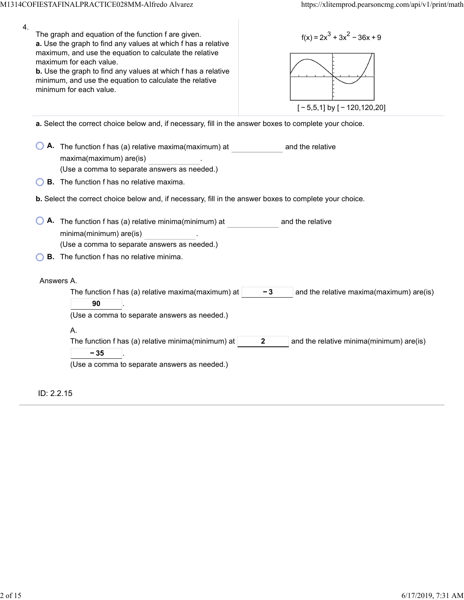| 4. | The graph and equation of the function f are given.<br>$f(x) = 2x^3 + 3x^2 - 36x + 9$<br>a. Use the graph to find any values at which f has a relative<br>maximum, and use the equation to calculate the relative<br>maximum for each value.<br>b. Use the graph to find any values at which f has a relative<br>minimum, and use the equation to calculate the relative<br>minimum for each value.<br>$[-5,5,1]$ by $[-120,120,20]$ |
|----|--------------------------------------------------------------------------------------------------------------------------------------------------------------------------------------------------------------------------------------------------------------------------------------------------------------------------------------------------------------------------------------------------------------------------------------|
|    | a. Select the correct choice below and, if necessary, fill in the answer boxes to complete your choice.                                                                                                                                                                                                                                                                                                                              |
|    | A. The function f has (a) relative maxima(maximum) at<br>and the relative<br>maxima(maximum) are(is)<br>(Use a comma to separate answers as needed.)                                                                                                                                                                                                                                                                                 |
|    | <b>B.</b> The function f has no relative maxima.                                                                                                                                                                                                                                                                                                                                                                                     |
|    | b. Select the correct choice below and, if necessary, fill in the answer boxes to complete your choice.                                                                                                                                                                                                                                                                                                                              |
|    | A. The function f has (a) relative minima(minimum) at<br>and the relative<br>minima(minimum) are(is)<br>(Use a comma to separate answers as needed.)<br><b>B.</b> The function f has no relative minima.                                                                                                                                                                                                                             |
|    | Answers A.                                                                                                                                                                                                                                                                                                                                                                                                                           |
|    | The function f has (a) relative maxima(maximum) at<br>- 3<br>and the relative maxima(maximum) are(is)<br>90<br>(Use a comma to separate answers as needed.)                                                                                                                                                                                                                                                                          |
|    | А.<br>The function f has (a) relative minima(minimum) at<br>$\mathbf{2}$<br>and the relative minima(minimum) are(is)<br>$-35$<br>(Use a comma to separate answers as needed.)                                                                                                                                                                                                                                                        |
|    | ID: 2.2.15                                                                                                                                                                                                                                                                                                                                                                                                                           |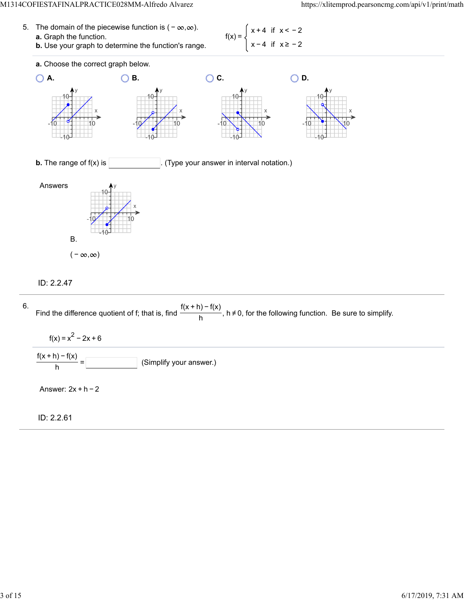- 5. The domain of the piecewise function is  $(-\infty, \infty)$ . **a.** Graph the function.  $f(x) =$ 
	- **b.** Use your graph to determine the function's range.

x + 4 if x < − 2 x − 4 if x ≥ − 2



### ID: 2.2.47

6. Find the difference quotient of f; that is, find  $\frac{f(x + h) - f(x)}{h}$ , h≠0, for the following function. Be sure to simplify.  $f(x) = x^2 - 2x + 6$ (Simplify your answer.)  $\frac{f(x+h)-f(x)}{h} =$ Answer: 2x + h − 2

ID: 2.2.61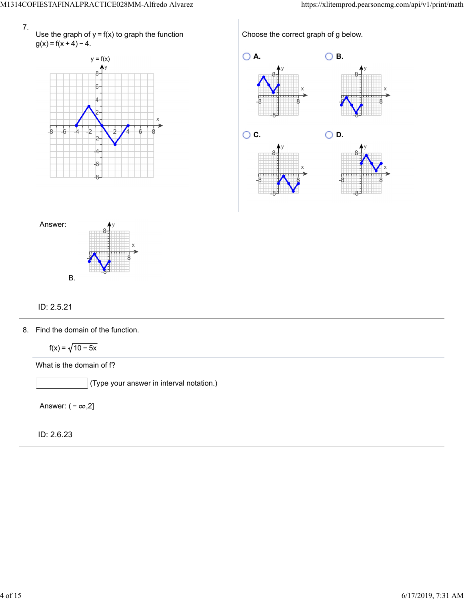

Use the graph of  $y = f(x)$  to graph the function  $g(x) = f(x + 4) - 4.$ 



Choose the correct graph of g below.





## ID: 2.5.21

8. Find the domain of the function.

 $f(x) = \sqrt{10 - 5x}$ 

What is the domain of f?

 $\big]$  (Type your answer in interval notation.)

Answer:  $(-\infty,2]$ 

ID: 2.6.23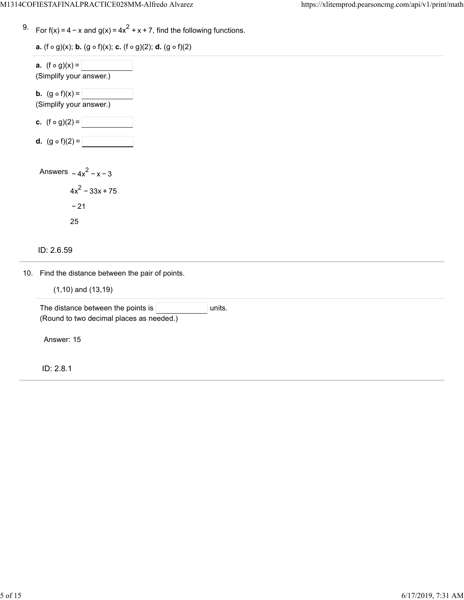9. For f(x) = 4 – x and g(x) = 4 $x^2$  + x + 7, find the following functions.

**a.**  $(f \circ g)(x)$ ; **b.**  $(g \circ f)(x)$ ; **c.**  $(f \circ g)(2)$ ; **d.**  $(g \circ f)(2)$ 

| <b>a.</b> $(f \circ g)(x) =  $<br>(Simplify your answer.)   |
|-------------------------------------------------------------|
| <b>b.</b> $(g \circ f)(x) =$<br>(Simplify your answer.)     |
| <b>c.</b> $(f \circ g)(2) =$                                |
| <b>d.</b> $(g \circ f)(2) =$                                |
| Answers $-4x^2 - x - 3$<br>$4x^2 - 33x + 75$<br>$-21$<br>25 |
| ID: 2.6.59                                                  |

10. Find the distance between the pair of points.

|  | $(1,10)$ and $(13,19)$ |  |
|--|------------------------|--|
|  |                        |  |

| The distance between the points is $ $   | units. |  |
|------------------------------------------|--------|--|
| (Round to two decimal places as needed.) |        |  |
|                                          |        |  |
| Answer: 15                               |        |  |
|                                          |        |  |
|                                          |        |  |

ID: 2.8.1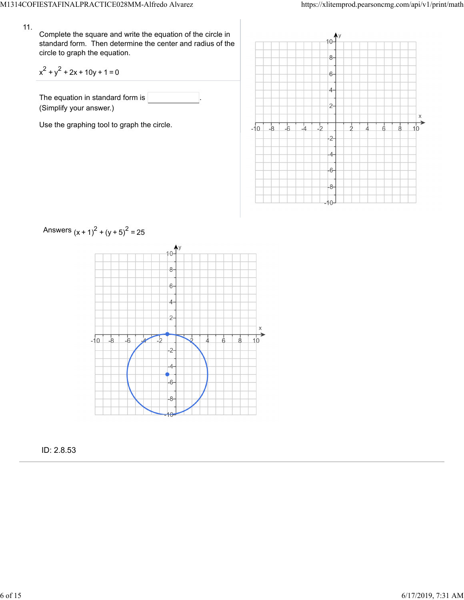#### 11.

Complete the square and write the equation of the circle in standard form. Then determine the center and radius of the circle to graph the equation.

$$
x^2 + y^2 + 2x + 10y + 1 = 0
$$

The equation in standard form is (Simplify your answer.)

Use the graphing tool to graph the circle.





ID: 2.8.53

# Answers  $(x + 1)^2 + (y + 5)^2 = 25$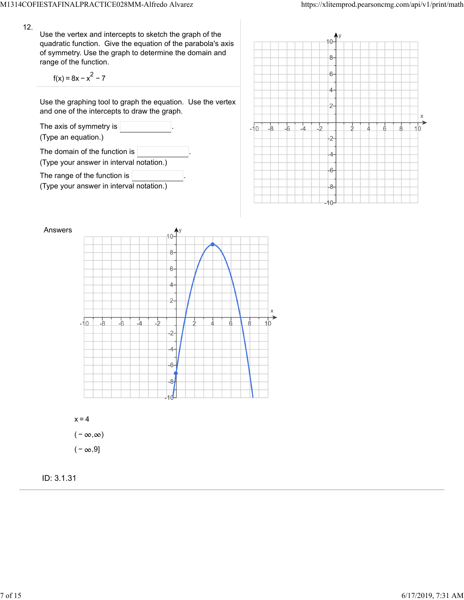12.

Use the vertex and intercepts to sketch the graph of the quadratic function. Give the equation of the parabola's axis of symmetry. Use the graph to determine the domain and range of the function.

$$
f(x) = 8x - x^2 - 7
$$

Use the graphing tool to graph the equation. Use the vertex and one of the intercepts to draw the graph.









 $x=4$  $(-\infty, \infty)$  $(-\infty, 9]$ 

ID: 3.1.31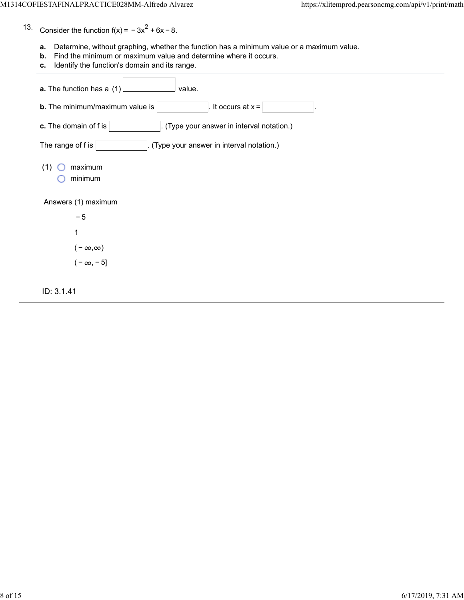- 13. Consider the function  $f(x) = -3x^2 + 6x - 8$ .
	- **a.** Determine, without graphing, whether the function has a minimum value or a maximum value.
	- **b.** Find the minimum or maximum value and determine where it occurs.
	- **c.** Identify the function's domain and its range.

| a. The function has a (1)<br>value.                                 |
|---------------------------------------------------------------------|
| <b>b.</b> The minimum/maximum value is<br>It occurs at $x =$        |
| c. The domain of f is<br>. (Type your answer in interval notation.) |
| The range of f is<br>(Type your answer in interval notation.)       |
| maximum<br>(1)<br>minimum                                           |
| Answers (1) maximum                                                 |
| $-5$                                                                |
| 1                                                                   |
| $(-\infty,\infty)$                                                  |
| $(-\infty, -5]$                                                     |
| ID: 3.1.41                                                          |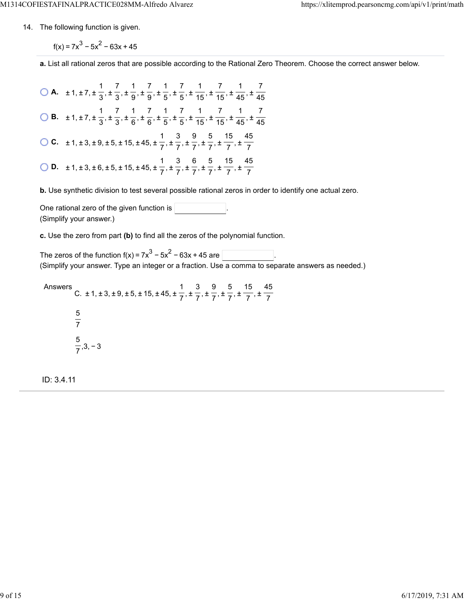14. The following function is given.

 $f(x) = 7x^3 - 5x^2 - 63x + 45$ 

**a.** List all rational zeros that are possible according to the Rational Zero Theorem. Choose the correct answer below.

**A.**  $\pm 1, \pm 7, \pm \frac{1}{2}, \pm \frac{7}{2}, \pm \frac{1}{2}, \pm \frac{7}{2}, \pm \frac{1}{2}, \pm \frac{7}{2}, \pm \frac{1}{45}, \pm \frac{7}{45}, \pm \frac{1}{46}, \pm \frac{1}{47}$  **B.**  $\pm 1, \pm 7, \pm \frac{1}{2}, \pm \frac{7}{2}, \pm \frac{1}{6}, \pm \frac{7}{6}, \pm \frac{1}{7}, \pm \frac{7}{7}, \pm \frac{1}{45}, \pm \frac{7}{45}, \pm \frac{1}{46}, \pm \frac{1}{46}$  **C.**  $\pm 1, \pm 3, \pm 9, \pm 5, \pm 15, \pm 45, \pm \frac{1}{7}, \pm \frac{1}{7}, \pm \frac{1}{7}, \pm \frac{1}{7}, \pm \frac{1}{7}, \pm \frac{1}{7}$  **D.**  $\pm$  1,  $\pm$  3,  $\pm$  6,  $\pm$  5,  $\pm$  15,  $\pm$  45,  $\pm$  <del> $\frac{1}{7}$ ,  $\pm$   $\frac{3}{7}$ ,  $\pm$   $\frac{6}{7}$ ,  $\pm$   $\frac{5}{7}$ ,  $\pm$   $\frac{1}{7}$ ,  $\pm$ </del> 

**b.** Use synthetic division to test several possible rational zeros in order to identify one actual zero.

One rational zero of the given function is . (Simplify your answer.)

**c.** Use the zero from part **(b)** to find all the zeros of the polynomial function.

The zeros of the function  $f(x) = 7x^3 - 5x^2 - 63x + 45$  are  $\lceil$ (Simplify your answer. Type an integer or a fraction. Use a comma to separate answers as needed.)

Answers C.  $\pm$  1,  $\pm$  3,  $\pm$  9,  $\pm$  5,  $\pm$  15,  $\pm$  45,  $\pm$   $\frac{1}{2}$ ,  $\pm$   $\frac{1}{2}$ ,  $\pm$   $\frac{1}{2}$ ,  $\pm$   $\frac{1}{2}$ ,  $\pm$  ,3, − 3 

ID: 3.4.11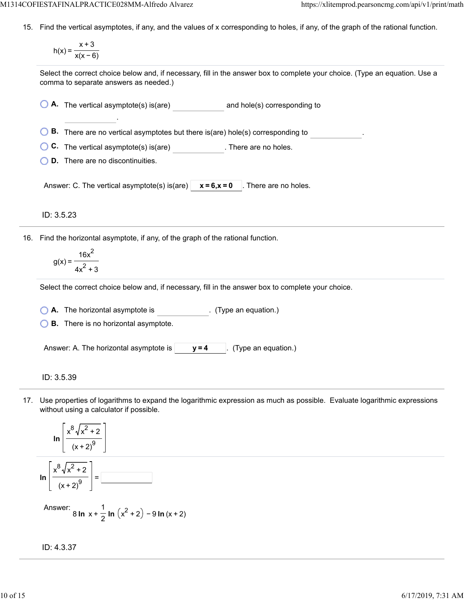15. Find the vertical asymptotes, if any, and the values of x corresponding to holes, if any, of the graph of the rational function.

$$
h(x) = \frac{x+3}{x(x-6)}
$$

Select the correct choice below and, if necessary, fill in the answer box to complete your choice. (Type an equation. Use a comma to separate answers as needed.)

**A.** The vertical asymptote(s) is(are) and hole(s) corresponding to

**B.** There are no vertical asymptotes but there is(are) hole(s) corresponding to

**C.** The vertical asymptote(s) is(are) **C.** There are no holes.

**D.** There are no discontinuities.

.

Answer: C. The vertical asymptote(s) is(are)  $x = 6$ ,  $x = 0$  . There are no holes.

ID: 3.5.23

16. Find the horizontal asymptote, if any, of the graph of the rational function.

$$
g(x) = \frac{16x^2}{4x^2 + 3}
$$

Select the correct choice below and, if necessary, fill in the answer box to complete your choice.

**A.** The horizontal asymptote is . (Type an equation.)

**B.** There is no horizontal asymptote.

Answer: A. The horizontal asymptote is  $\vert$   $\vert$   $\vert$  **y** = 4  $\vert$  . (Type an equation.)

ID: 3.5.39

17. Use properties of logarithms to expand the logarithmic expression as much as possible. Evaluate logarithmic expressions without using a calculator if possible.

$$
\ln\left[\frac{x^8\sqrt{x^2+2}}{(x+2)^9}\right]
$$

$$
\ln\left[\frac{x^8\sqrt{x^2+2}}{(x+2)^9}\right] = \boxed{1}
$$

Answer: 
$$
8 \ln x + \frac{1}{2} \ln (x^2 + 2) - 9 \ln (x + 2)
$$

$$
ID: 4.3.37
$$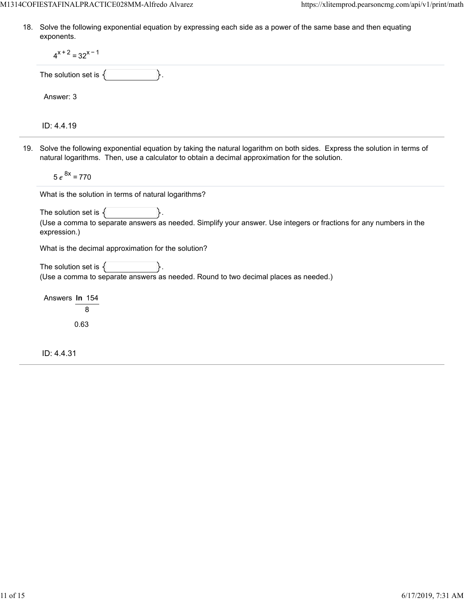18. Solve the following exponential equation by expressing each side as a power of the same base and then equating exponents.

| $4^{x+2} = 32^{x-1}$                                                                                                                                                                                                           |
|--------------------------------------------------------------------------------------------------------------------------------------------------------------------------------------------------------------------------------|
| The solution set is $\{$                                                                                                                                                                                                       |
| Answer: 3                                                                                                                                                                                                                      |
| ID: 4.4.19                                                                                                                                                                                                                     |
| 19. Solve the following exponential equation by taking the natural logarithm on both sides. Express the solution in terms of<br>natural logarithms. Then, use a calculator to obtain a decimal approximation for the solution. |
| $5e^{8x} = 770$                                                                                                                                                                                                                |
| What is the solution in terms of natural logarithms?                                                                                                                                                                           |
| The solution set is $\{$<br>(Use a comma to separate answers as needed. Simplify your answer. Use integers or fractions for any numbers in the<br>expression.)                                                                 |
| What is the decimal approximation for the solution?                                                                                                                                                                            |
| The solution set is $\{$<br>(Use a comma to separate answers as needed. Round to two decimal places as needed.)                                                                                                                |
| Answers In 154<br>8                                                                                                                                                                                                            |
| 0.63                                                                                                                                                                                                                           |
| ID: 4.4.31                                                                                                                                                                                                                     |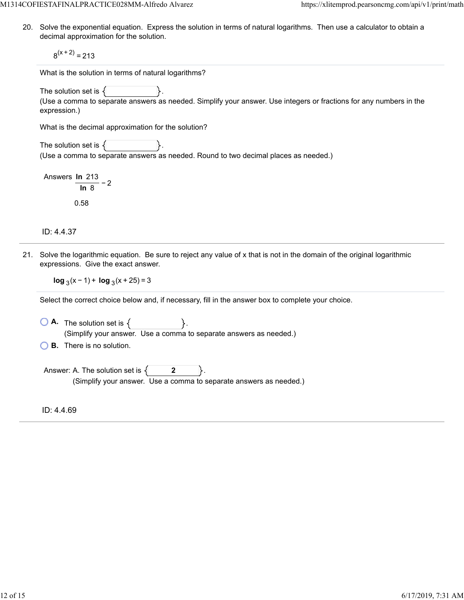M1314COFIESTAFINALPRACTICE028MM-Alfredo Alvarez https://xlitemprod.pearsoncmg.com/api/v1/print/math

20. Solve the exponential equation. Express the solution in terms of natural logarithms. Then use a calculator to obtain a decimal approximation for the solution.

 $8<sup>(x + 2)</sup> = 213$ 

What is the solution in terms of natural logarithms?

The solution set is  $\{$ 

(Use a comma to separate answers as needed. Simplify your answer. Use integers or fractions for any numbers in the expression.)

What is the decimal approximation for the solution?

The solution set is  $\{$ (Use a comma to separate answers as needed. Round to two decimal places as needed.)

Answers **ln** 213 − 2 **ln** 8 0.58

ID: 4.4.37

21. Solve the logarithmic equation. Be sure to reject any value of x that is not in the domain of the original logarithmic expressions. Give the exact answer.

**log**  $_3$ (x – 1) + **log**  $_3$ (x + 25) = 3

Select the correct choice below and, if necessary, fill in the answer box to complete your choice.

 $\overline{A}$ . The solution set is  $\{$ (Simplify your answer. Use a comma to separate answers as needed.)

**B.** There is no solution.

Answer: A. The solution set is  $\begin{cases} 2 & 2 \end{cases}$ (Simplify your answer. Use a comma to separate answers as needed.)

ID: 4.4.69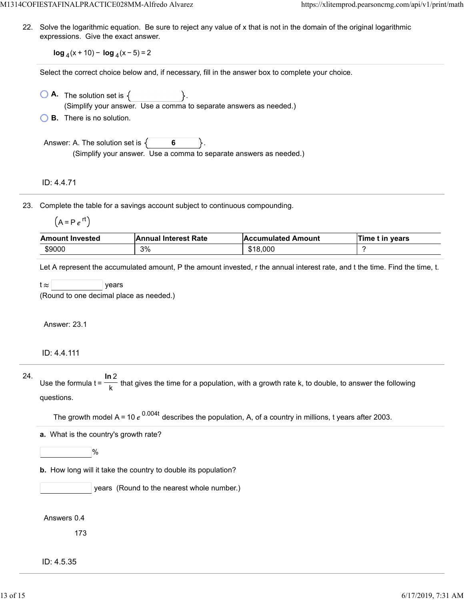M1314COFIESTAFINALPRACTICE028MM-Alfredo Alvarez https://xlitemprod.pearsoncmg.com/api/v1/print/math

22. Solve the logarithmic equation. Be sure to reject any value of x that is not in the domain of the original logarithmic expressions. Give the exact answer.

**log**  $_4(x + 10) - \log_4(x - 5) = 2$ 

Select the correct choice below and, if necessary, fill in the answer box to complete your choice.

 $\bigcirc$  **A.** The solution set is  $\{$ (Simplify your answer. Use a comma to separate answers as needed.)

**B.** There is no solution.

Answer: A. The solution set is  $\{ \}$  6 (Simplify your answer. Use a comma to separate answers as needed.)

ID: 4.4.71

23. Complete the table for a savings account subject to continuous compounding.

| Δ | . . |  |
|---|-----|--|
|   |     |  |

| <b>Amount Invested</b> | <b>Annual Interest Rate</b> | <b>Accumulated Amount</b> | Time t in years |
|------------------------|-----------------------------|---------------------------|-----------------|
| \$9000                 | 3%                          | \$18,000                  |                 |

Let A represent the accumulated amount, P the amount invested, r the annual interest rate, and t the time. Find the time, t.

 $t \approx$  | years

(Round to one decimal place as needed.)

Answer: 23.1

ID: 4.4.111

24. Use the formula  $t = \frac{1}{\sqrt{1-\lambda}}$  that gives the time for a population, with a growth rate k, to double, to answer the following questions. **ln** 2 k

The growth model A = 10  $e^{0.004t}$  describes the population, A, of a country in millions, t years after 2003.

**a.** What is the country's growth rate?

 $\frac{9}{6}$ 

**b.** How long will it take the country to double its population?

years (Round to the nearest whole number.)

Answers 0.4

173

ID: 4.5.35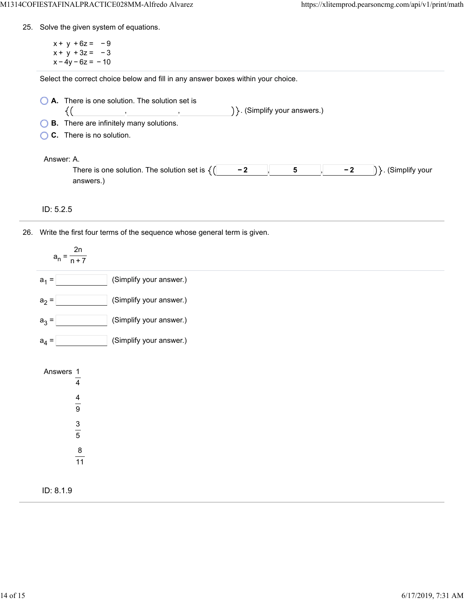25. Solve the given system of equations.

 $x + y + 6z = -9$  $x + y + 3z = -3$  $x - 4y - 6z = -10$ 

Select the correct choice below and fill in any answer boxes within your choice.

| A. There is one solution. The solution set is              |                                   |
|------------------------------------------------------------|-----------------------------------|
|                                                            | $\{\}$ . (Simplify your answers.) |
| $\bigcirc$ <b>B</b> . There are infinitely many solutions. |                                   |

**C.** There is no solution.

#### Answer: A.

| There is one solution<br>The solution set |  | <br>vour |
|-------------------------------------------|--|----------|
|                                           |  |          |

ID: 5.2.5

26. Write the first four terms of the sequence whose general term is given.

| 2n<br>$a_n = \frac{1}{n+7}$                                                     |                         |
|---------------------------------------------------------------------------------|-------------------------|
| $a_1 =$                                                                         | (Simplify your answer.) |
| $a_2 =$                                                                         | (Simplify your answer.) |
| $a_3 =$                                                                         | (Simplify your answer.) |
| $a_4 =$                                                                         | (Simplify your answer.) |
| Answers 1<br>$\overline{4}$<br>$\frac{4}{9}$<br>$\frac{3}{5}$<br>$\frac{8}{11}$ |                         |
| ID: 8.1.9                                                                       |                         |